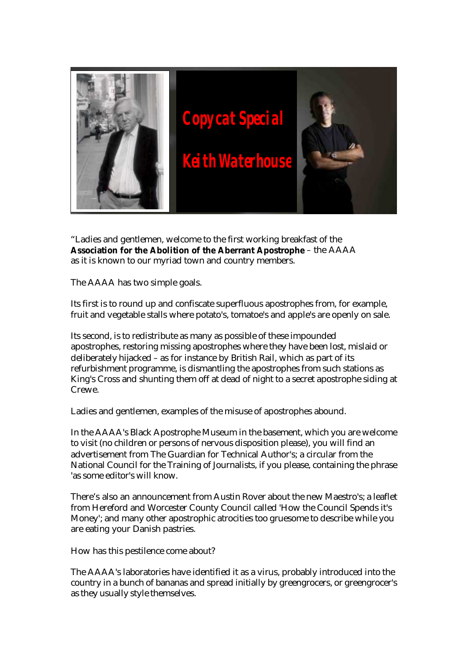

"Ladies and gentlemen, welcome to the first working breakfast of the **Association for the Abolition of the Aberrant Apostrophe** – the AAAA as it is known to our myriad town and country members.

The AAAA has two simple goals.

Its first is to round up and confiscate superfluous apostrophes from, for example, fruit and vegetable stalls where potato's, tomatoe's and apple's are openly on sale.

Its second, is to redistribute as many as possible of these impounded apostrophes, restoring missing apostrophes where they have been lost, mislaid or deliberately hijacked – as for instance by British Rail, which as part of its refurbishment programme, is dismantling the apostrophes from such stations as King's Cross and shunting them off at dead of night to a secret apostrophe siding at Crewe.

Ladies and gentlemen, examples of the misuse of apostrophes abound.

In the AAAA's Black Apostrophe Museum in the basement, which you are welcome to visit (no children or persons of nervous disposition please), you will find an advertisement from The Guardian for Technical Author's; a circular from the National Council for the Training of Journalists, if you please, containing the phrase 'as some editor's will know.

There's also an announcement from Austin Rover about the new Maestro's; a leaflet from Hereford and Worcester County Council called 'How the Council Spends it's Money'; and many other apostrophic atrocities too gruesome to describe while you are eating your Danish pastries.

How has this pestilence come about?

The AAAA's laboratories have identified it as a virus, probably introduced into the country in a bunch of bananas and spread initially by greengrocers, or greengrocer's as they usually style themselves.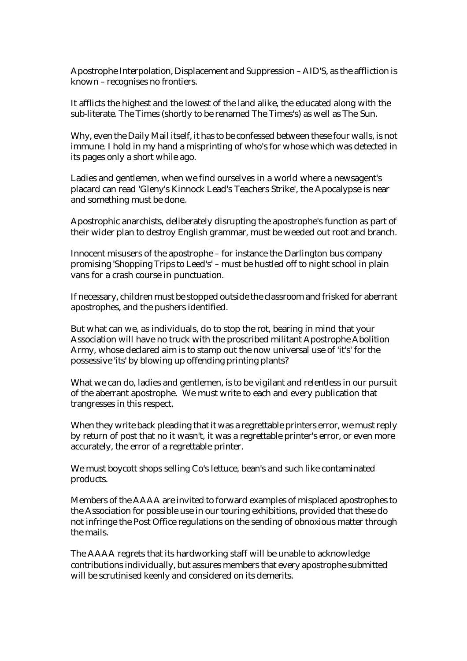Apostrophe Interpolation, Displacement and Suppression – AID'S, as the affliction is known – recognises no frontiers.

It afflicts the highest and the lowest of the land alike, the educated along with the sub-literate. The Times (shortly to be renamed The Times's) as well as The Sun.

Why, even the Daily Mail itself, it has to be confessed between these four walls, is not immune. I hold in my hand a misprinting of who's for whose which was detected in its pages only a short while ago.

Ladies and gentlemen, when we find ourselves in a world where a newsagent's placard can read 'Gleny's Kinnock Lead's Teachers Strike', the Apocalypse is near and something must be done.

Apostrophic anarchists, deliberately disrupting the apostrophe's function as part of their wider plan to destroy English grammar, must be weeded out root and branch.

Innocent misusers of the apostrophe – for instance the Darlington bus company promising 'Shopping Trips to Leed's' – must be hustled off to night school in plain vans for a crash course in punctuation.

If necessary, children must be stopped outside the classroom and frisked for aberrant apostrophes, and the pushers identified.

But what can we, as individuals, do to stop the rot, bearing in mind that your Association will have no truck with the proscribed militant Apostrophe Abolition Army, whose declared aim is to stamp out the now universal use of 'it's' for the possessive 'its' by blowing up offending printing plants?

What we can do, ladies and gentlemen, is to be vigilant and relentless in our pursuit of the aberrant apostrophe. We must write to each and every publication that trangresses in this respect.

When they write back pleading that it was a regrettable printers error, we must reply by return of post that no it wasn't, it was a regrettable printer's error, or even more accurately, the error of a regrettable printer.

We must boycott shops selling Co's lettuce, bean's and such like contaminated products.

Members of the AAAA are invited to forward examples of misplaced apostrophes to the Association for possible use in our touring exhibitions, provided that these do not infringe the Post Office regulations on the sending of obnoxious matter through the mails.

The AAAA regrets that its hardworking staff will be unable to acknowledge contributions individually, but assures members that every apostrophe submitted will be scrutinised keenly and considered on its demerits.